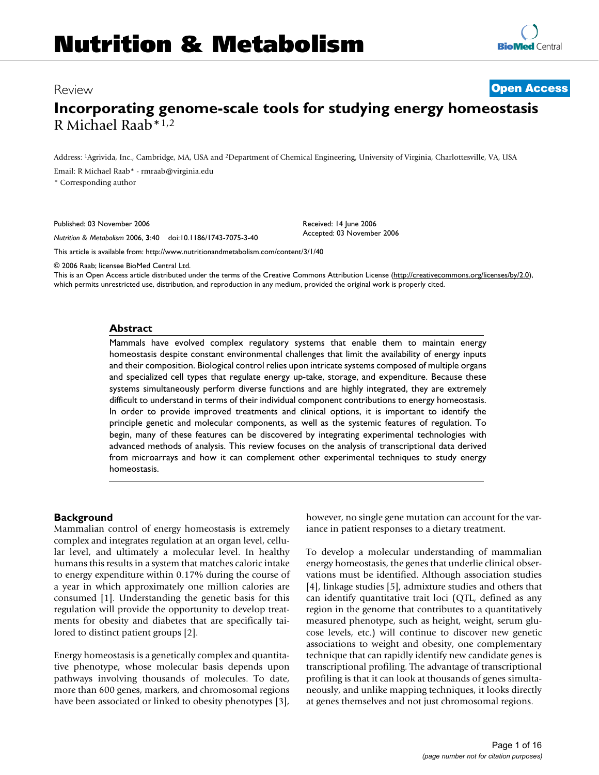# Review **[Open Access](http://www.biomedcentral.com/info/about/charter/)**

# **Incorporating genome-scale tools for studying energy homeostasis** R Michael Raab\*1,2

Address: 1Agrivida, Inc., Cambridge, MA, USA and 2Department of Chemical Engineering, University of Virginia, Charlottesville, VA, USA

Email: R Michael Raab\* - rmraab@virginia.edu

\* Corresponding author

Published: 03 November 2006

*Nutrition & Metabolism* 2006, **3**:40 doi:10.1186/1743-7075-3-40

[This article is available from: http://www.nutritionandmetabolism.com/content/3/1/40](http://www.nutritionandmetabolism.com/content/3/1/40)

© 2006 Raab; licensee BioMed Central Ltd.

This is an Open Access article distributed under the terms of the Creative Commons Attribution License [\(http://creativecommons.org/licenses/by/2.0\)](http://creativecommons.org/licenses/by/2.0), which permits unrestricted use, distribution, and reproduction in any medium, provided the original work is properly cited.

Received: 14 June 2006 Accepted: 03 November 2006

#### **Abstract**

Mammals have evolved complex regulatory systems that enable them to maintain energy homeostasis despite constant environmental challenges that limit the availability of energy inputs and their composition. Biological control relies upon intricate systems composed of multiple organs and specialized cell types that regulate energy up-take, storage, and expenditure. Because these systems simultaneously perform diverse functions and are highly integrated, they are extremely difficult to understand in terms of their individual component contributions to energy homeostasis. In order to provide improved treatments and clinical options, it is important to identify the principle genetic and molecular components, as well as the systemic features of regulation. To begin, many of these features can be discovered by integrating experimental technologies with advanced methods of analysis. This review focuses on the analysis of transcriptional data derived from microarrays and how it can complement other experimental techniques to study energy homeostasis.

# **Background**

Mammalian control of energy homeostasis is extremely complex and integrates regulation at an organ level, cellular level, and ultimately a molecular level. In healthy humans this results in a system that matches caloric intake to energy expenditure within 0.17% during the course of a year in which approximately one million calories are consumed [1]. Understanding the genetic basis for this regulation will provide the opportunity to develop treatments for obesity and diabetes that are specifically tailored to distinct patient groups [2].

Energy homeostasis is a genetically complex and quantitative phenotype, whose molecular basis depends upon pathways involving thousands of molecules. To date, more than 600 genes, markers, and chromosomal regions have been associated or linked to obesity phenotypes [3], however, no single gene mutation can account for the variance in patient responses to a dietary treatment.

To develop a molecular understanding of mammalian energy homeostasis, the genes that underlie clinical observations must be identified. Although association studies [4], linkage studies [5], admixture studies and others that can identify quantitative trait loci (QTL, defined as any region in the genome that contributes to a quantitatively measured phenotype, such as height, weight, serum glucose levels, etc.) will continue to discover new genetic associations to weight and obesity, one complementary technique that can rapidly identify new candidate genes is transcriptional profiling. The advantage of transcriptional profiling is that it can look at thousands of genes simultaneously, and unlike mapping techniques, it looks directly at genes themselves and not just chromosomal regions.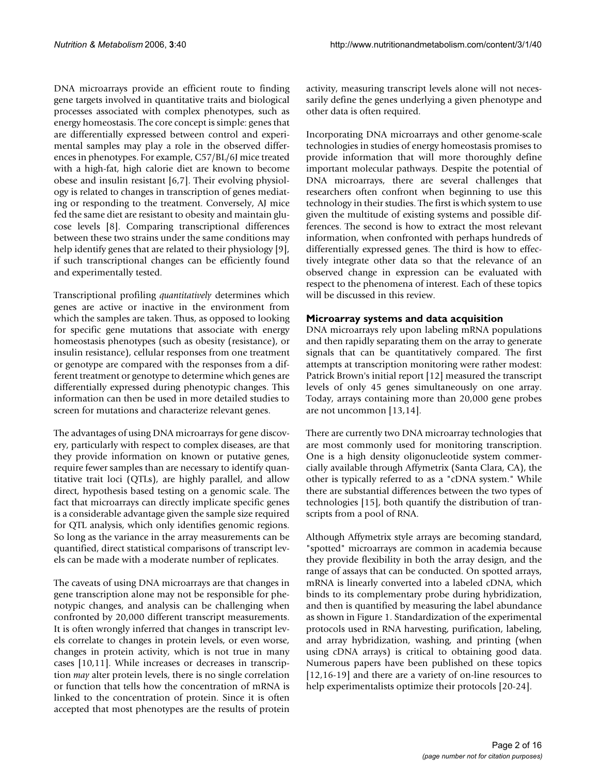DNA microarrays provide an efficient route to finding gene targets involved in quantitative traits and biological processes associated with complex phenotypes, such as energy homeostasis. The core concept is simple: genes that are differentially expressed between control and experimental samples may play a role in the observed differences in phenotypes. For example, C57/BL/6J mice treated with a high-fat, high calorie diet are known to become obese and insulin resistant [6,7]. Their evolving physiology is related to changes in transcription of genes mediating or responding to the treatment. Conversely, AJ mice fed the same diet are resistant to obesity and maintain glucose levels [8]. Comparing transcriptional differences between these two strains under the same conditions may help identify genes that are related to their physiology [9], if such transcriptional changes can be efficiently found and experimentally tested.

Transcriptional profiling *quantitatively* determines which genes are active or inactive in the environment from which the samples are taken. Thus, as opposed to looking for specific gene mutations that associate with energy homeostasis phenotypes (such as obesity (resistance), or insulin resistance), cellular responses from one treatment or genotype are compared with the responses from a different treatment or genotype to determine which genes are differentially expressed during phenotypic changes. This information can then be used in more detailed studies to screen for mutations and characterize relevant genes.

The advantages of using DNA microarrays for gene discovery, particularly with respect to complex diseases, are that they provide information on known or putative genes, require fewer samples than are necessary to identify quantitative trait loci (QTLs), are highly parallel, and allow direct, hypothesis based testing on a genomic scale. The fact that microarrays can directly implicate specific genes is a considerable advantage given the sample size required for QTL analysis, which only identifies genomic regions. So long as the variance in the array measurements can be quantified, direct statistical comparisons of transcript levels can be made with a moderate number of replicates.

The caveats of using DNA microarrays are that changes in gene transcription alone may not be responsible for phenotypic changes, and analysis can be challenging when confronted by 20,000 different transcript measurements. It is often wrongly inferred that changes in transcript levels correlate to changes in protein levels, or even worse, changes in protein activity, which is not true in many cases [10,11]. While increases or decreases in transcription *may* alter protein levels, there is no single correlation or function that tells how the concentration of mRNA is linked to the concentration of protein. Since it is often accepted that most phenotypes are the results of protein

activity, measuring transcript levels alone will not necessarily define the genes underlying a given phenotype and other data is often required.

Incorporating DNA microarrays and other genome-scale technologies in studies of energy homeostasis promises to provide information that will more thoroughly define important molecular pathways. Despite the potential of DNA microarrays, there are several challenges that researchers often confront when beginning to use this technology in their studies. The first is which system to use given the multitude of existing systems and possible differences. The second is how to extract the most relevant information, when confronted with perhaps hundreds of differentially expressed genes. The third is how to effectively integrate other data so that the relevance of an observed change in expression can be evaluated with respect to the phenomena of interest. Each of these topics will be discussed in this review.

## **Microarray systems and data acquisition**

DNA microarrays rely upon labeling mRNA populations and then rapidly separating them on the array to generate signals that can be quantitatively compared. The first attempts at transcription monitoring were rather modest: Patrick Brown's initial report [12] measured the transcript levels of only 45 genes simultaneously on one array. Today, arrays containing more than 20,000 gene probes are not uncommon [13,14].

There are currently two DNA microarray technologies that are most commonly used for monitoring transcription. One is a high density oligonucleotide system commercially available through Affymetrix (Santa Clara, CA), the other is typically referred to as a "cDNA system." While there are substantial differences between the two types of technologies [15], both quantify the distribution of transcripts from a pool of RNA.

Although Affymetrix style arrays are becoming standard, "spotted" microarrays are common in academia because they provide flexibility in both the array design, and the range of assays that can be conducted. On spotted arrays, mRNA is linearly converted into a labeled cDNA, which binds to its complementary probe during hybridization, and then is quantified by measuring the label abundance as shown in Figure 1. Standardization of the experimental protocols used in RNA harvesting, purification, labeling, and array hybridization, washing, and printing (when using cDNA arrays) is critical to obtaining good data. Numerous papers have been published on these topics [12,16-19] and there are a variety of on-line resources to help experimentalists optimize their protocols [20-24].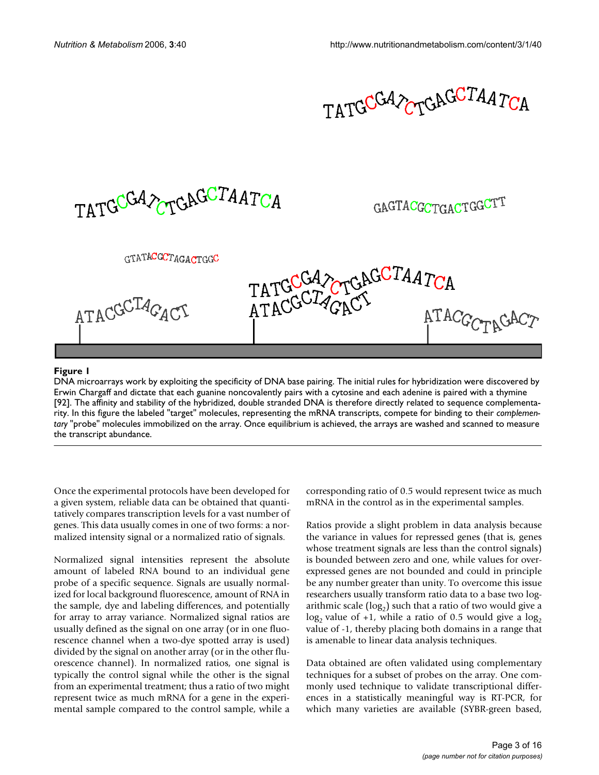TATGCGA2CTGAGCTAATCA

TATGCGA2CTGAGCTAATCA

GAGTACGCTGACTGGCTT

GTATACGCTAGACTGGC  $T_{\text{C}}$ AGCTAATCA ATACGCT4GACT ATACGCTAGACZ

#### **Figure 1**

DNA microarrays work by exploiting the specificity of DNA base pairing. The initial rules for hybridization were discovered by Erwin Chargaff and dictate that each guanine noncovalently pairs with a cytosine and each adenine is paired with a thymine [92]. The affinity and stability of the hybridized, double stranded DNA is therefore directly related to sequence complementarity. In this figure the labeled "target" molecules, representing the mRNA transcripts, compete for binding to their *complementary* "probe" molecules immobilized on the array. Once equilibrium is achieved, the arrays are washed and scanned to measure the transcript abundance.

Once the experimental protocols have been developed for a given system, reliable data can be obtained that quantitatively compares transcription levels for a vast number of genes. This data usually comes in one of two forms: a normalized intensity signal or a normalized ratio of signals.

Normalized signal intensities represent the absolute amount of labeled RNA bound to an individual gene probe of a specific sequence. Signals are usually normalized for local background fluorescence, amount of RNA in the sample, dye and labeling differences, and potentially for array to array variance. Normalized signal ratios are usually defined as the signal on one array (or in one fluorescence channel when a two-dye spotted array is used) divided by the signal on another array (or in the other fluorescence channel). In normalized ratios, one signal is typically the control signal while the other is the signal from an experimental treatment; thus a ratio of two might represent twice as much mRNA for a gene in the experimental sample compared to the control sample, while a

corresponding ratio of 0.5 would represent twice as much mRNA in the control as in the experimental samples.

Ratios provide a slight problem in data analysis because the variance in values for repressed genes (that is, genes whose treatment signals are less than the control signals) is bounded between zero and one, while values for overexpressed genes are not bounded and could in principle be any number greater than unity. To overcome this issue researchers usually transform ratio data to a base two logarithmic scale ( $log<sub>2</sub>$ ) such that a ratio of two would give a  $log_2$  value of +1, while a ratio of 0.5 would give a  $log_2$ value of -1, thereby placing both domains in a range that is amenable to linear data analysis techniques.

Data obtained are often validated using complementary techniques for a subset of probes on the array. One commonly used technique to validate transcriptional differences in a statistically meaningful way is RT-PCR, for which many varieties are available (SYBR-green based,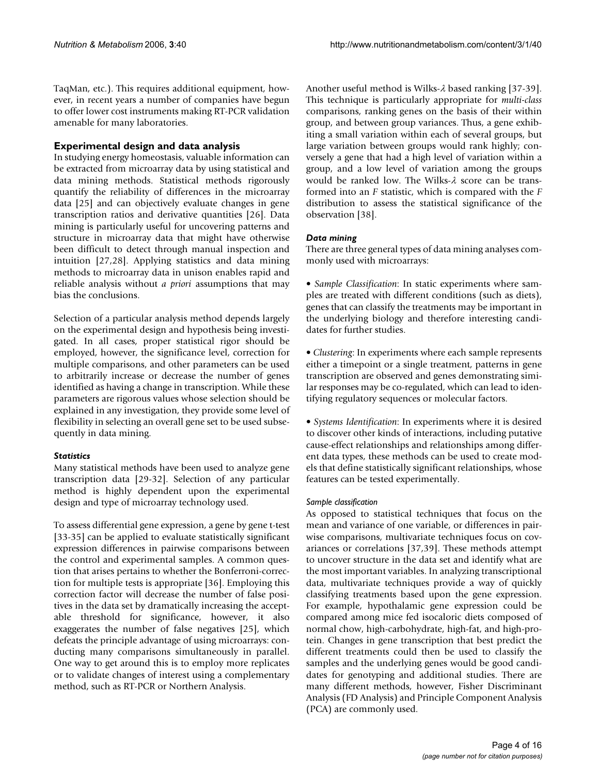TaqMan, etc.). This requires additional equipment, however, in recent years a number of companies have begun to offer lower cost instruments making RT-PCR validation amenable for many laboratories.

# **Experimental design and data analysis**

In studying energy homeostasis, valuable information can be extracted from microarray data by using statistical and data mining methods. Statistical methods rigorously quantify the reliability of differences in the microarray data [25] and can objectively evaluate changes in gene transcription ratios and derivative quantities [26]. Data mining is particularly useful for uncovering patterns and structure in microarray data that might have otherwise been difficult to detect through manual inspection and intuition [27,28]. Applying statistics and data mining methods to microarray data in unison enables rapid and reliable analysis without *a priori* assumptions that may bias the conclusions.

Selection of a particular analysis method depends largely on the experimental design and hypothesis being investigated. In all cases, proper statistical rigor should be employed, however, the significance level, correction for multiple comparisons, and other parameters can be used to arbitrarily increase or decrease the number of genes identified as having a change in transcription. While these parameters are rigorous values whose selection should be explained in any investigation, they provide some level of flexibility in selecting an overall gene set to be used subsequently in data mining.

## *Statistics*

Many statistical methods have been used to analyze gene transcription data [29-32]. Selection of any particular method is highly dependent upon the experimental design and type of microarray technology used.

To assess differential gene expression, a gene by gene t-test [33-35] can be applied to evaluate statistically significant expression differences in pairwise comparisons between the control and experimental samples. A common question that arises pertains to whether the Bonferroni-correction for multiple tests is appropriate [36]. Employing this correction factor will decrease the number of false positives in the data set by dramatically increasing the acceptable threshold for significance, however, it also exaggerates the number of false negatives [25], which defeats the principle advantage of using microarrays: conducting many comparisons simultaneously in parallel. One way to get around this is to employ more replicates or to validate changes of interest using a complementary method, such as RT-PCR or Northern Analysis.

Another useful method is Wilks-λ based ranking [37-39]. This technique is particularly appropriate for *multi-class* comparisons, ranking genes on the basis of their within group, and between group variances. Thus, a gene exhibiting a small variation within each of several groups, but large variation between groups would rank highly; conversely a gene that had a high level of variation within a group, and a low level of variation among the groups would be ranked low. The Wilks-λ score can be transformed into an *F* statistic, which is compared with the *F* distribution to assess the statistical significance of the observation [38].

# *Data mining*

There are three general types of data mining analyses commonly used with microarrays:

• *Sample Classification*: In static experiments where samples are treated with different conditions (such as diets), genes that can classify the treatments may be important in the underlying biology and therefore interesting candidates for further studies.

• *Clustering*: In experiments where each sample represents either a timepoint or a single treatment, patterns in gene transcription are observed and genes demonstrating similar responses may be co-regulated, which can lead to identifying regulatory sequences or molecular factors.

• *Systems Identification*: In experiments where it is desired to discover other kinds of interactions, including putative cause-effect relationships and relationships among different data types, these methods can be used to create models that define statistically significant relationships, whose features can be tested experimentally.

## *Sample classification*

As opposed to statistical techniques that focus on the mean and variance of one variable, or differences in pairwise comparisons, multivariate techniques focus on covariances or correlations [37,39]. These methods attempt to uncover structure in the data set and identify what are the most important variables. In analyzing transcriptional data, multivariate techniques provide a way of quickly classifying treatments based upon the gene expression. For example, hypothalamic gene expression could be compared among mice fed isocaloric diets composed of normal chow, high-carbohydrate, high-fat, and high-protein. Changes in gene transcription that best predict the different treatments could then be used to classify the samples and the underlying genes would be good candidates for genotyping and additional studies. There are many different methods, however, Fisher Discriminant Analysis (FD Analysis) and Principle Component Analysis (PCA) are commonly used.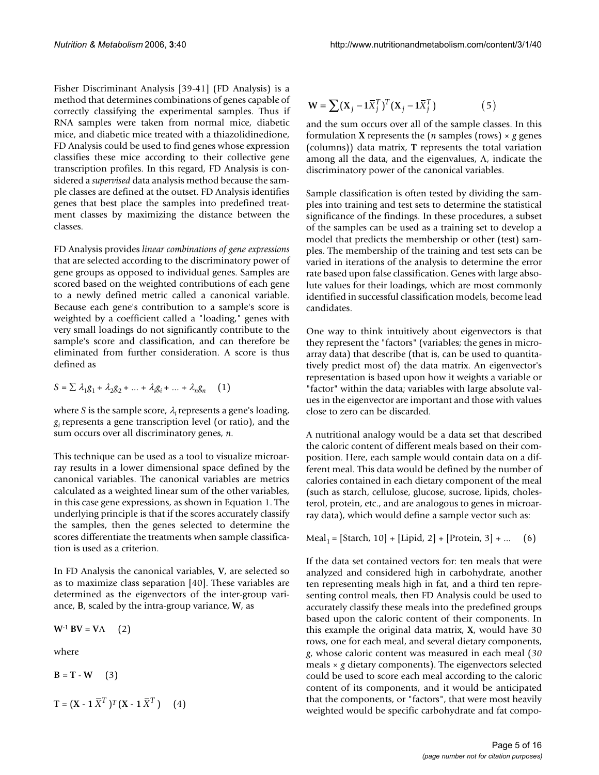Fisher Discriminant Analysis [39-41] (FD Analysis) is a method that determines combinations of genes capable of correctly classifying the experimental samples. Thus if RNA samples were taken from normal mice, diabetic mice, and diabetic mice treated with a thiazolidinedione, FD Analysis could be used to find genes whose expression classifies these mice according to their collective gene transcription profiles. In this regard, FD Analysis is considered a *supervised* data analysis method because the sample classes are defined at the outset. FD Analysis identifies genes that best place the samples into predefined treatment classes by maximizing the distance between the classes.

FD Analysis provides *linear combinations of gene expressions* that are selected according to the discriminatory power of gene groups as opposed to individual genes. Samples are scored based on the weighted contributions of each gene to a newly defined metric called a canonical variable. Because each gene's contribution to a sample's score is weighted by a coefficient called a "loading," genes with very small loadings do not significantly contribute to the sample's score and classification, and can therefore be eliminated from further consideration. A score is thus defined as

$$
S = \sum \lambda_1 g_1 + \lambda_2 g_2 + \dots + \lambda_i g_i + \dots + \lambda_n g_n \quad (1)
$$

where *S* is the sample score,  $\lambda_i$  represents a gene's loading, *gi* represents a gene transcription level (or ratio), and the sum occurs over all discriminatory genes, *n*.

This technique can be used as a tool to visualize microarray results in a lower dimensional space defined by the canonical variables. The canonical variables are metrics calculated as a weighted linear sum of the other variables, in this case gene expressions, as shown in Equation 1. The underlying principle is that if the scores accurately classify the samples, then the genes selected to determine the scores differentiate the treatments when sample classification is used as a criterion.

In FD Analysis the canonical variables, **V**, are selected so as to maximize class separation [40]. These variables are determined as the eigenvectors of the inter-group variance, **B**, scaled by the intra-group variance, **W**, as

 $W^{-1}$  **BV** =  $V\Lambda$  (2)

where

$$
\mathbf{B} = \mathbf{T} \cdot \mathbf{W} \quad (3)
$$

$$
\mathbf{T} = (\mathbf{X} - \mathbf{1}\,\overline{X}^T)\,^T(\mathbf{X} - \mathbf{1}\,\overline{X}^T) \qquad (4)
$$

$$
\mathbf{W} = \sum (\mathbf{X}_j - \mathbf{1}\overline{X}_j^T)^T (\mathbf{X}_j - \mathbf{1}\overline{X}_j^T)
$$
 (5)

and the sum occurs over all of the sample classes. In this formulation **X** represents the (*n* samples (rows) × *g* genes (columns)) data matrix, **T** represents the total variation among all the data, and the eigenvalues,  $\Lambda$ , indicate the discriminatory power of the canonical variables.

Sample classification is often tested by dividing the samples into training and test sets to determine the statistical significance of the findings. In these procedures, a subset of the samples can be used as a training set to develop a model that predicts the membership or other (test) samples. The membership of the training and test sets can be varied in iterations of the analysis to determine the error rate based upon false classification. Genes with large absolute values for their loadings, which are most commonly identified in successful classification models, become lead candidates.

One way to think intuitively about eigenvectors is that they represent the "factors" (variables; the genes in microarray data) that describe (that is, can be used to quantitatively predict most of) the data matrix. An eigenvector's representation is based upon how it weights a variable or "factor" within the data; variables with large absolute values in the eigenvector are important and those with values close to zero can be discarded.

A nutritional analogy would be a data set that described the caloric content of different meals based on their composition. Here, each sample would contain data on a different meal. This data would be defined by the number of calories contained in each dietary component of the meal (such as starch, cellulose, glucose, sucrose, lipids, cholesterol, protein, etc., and are analogous to genes in microarray data), which would define a sample vector such as:

 $\text{Meal}_1 = [\text{Starch}, 10] + [\text{Lipid}, 2] + [\text{Protein}, 3] + \dots$  (6)

If the data set contained vectors for: ten meals that were analyzed and considered high in carbohydrate, another ten representing meals high in fat, and a third ten representing control meals, then FD Analysis could be used to accurately classify these meals into the predefined groups based upon the caloric content of their components. In this example the original data matrix, **X**, would have 30 rows, one for each meal, and several dietary components, *g*, whose caloric content was measured in each meal (*30* meals × *g* dietary components). The eigenvectors selected could be used to score each meal according to the caloric content of its components, and it would be anticipated that the components, or "factors", that were most heavily weighted would be specific carbohydrate and fat compo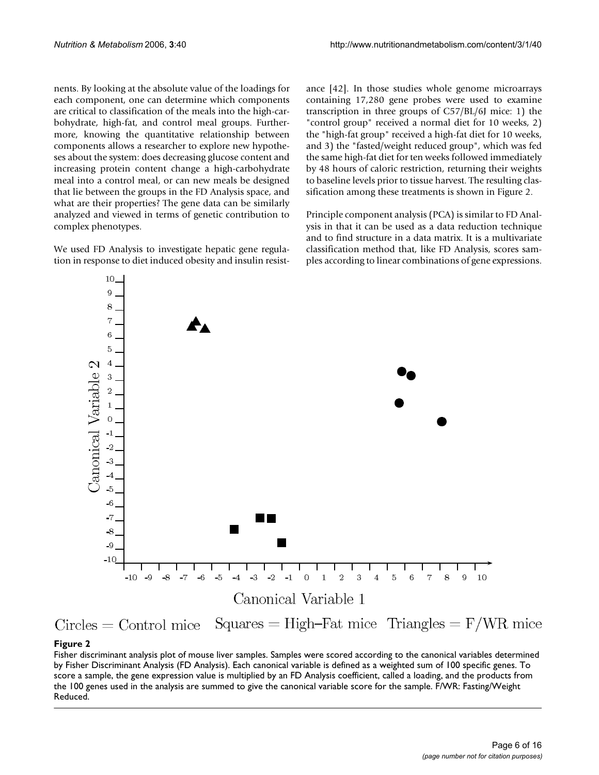10

nents. By looking at the absolute value of the loadings for each component, one can determine which components are critical to classification of the meals into the high-carbohydrate, high-fat, and control meal groups. Furthermore, knowing the quantitative relationship between components allows a researcher to explore new hypotheses about the system: does decreasing glucose content and increasing protein content change a high-carbohydrate meal into a control meal, or can new meals be designed that lie between the groups in the FD Analysis space, and what are their properties? The gene data can be similarly analyzed and viewed in terms of genetic contribution to complex phenotypes.

We used FD Analysis to investigate hepatic gene regulation in response to diet induced obesity and insulin resistance [42]. In those studies whole genome microarrays containing 17,280 gene probes were used to examine transcription in three groups of C57/BL/6J mice: 1) the "control group" received a normal diet for 10 weeks, 2) the "high-fat group" received a high-fat diet for 10 weeks, and 3) the "fasted/weight reduced group", which was fed the same high-fat diet for ten weeks followed immediately by 48 hours of caloric restriction, returning their weights to baseline levels prior to tissue harvest. The resulting classification among these treatments is shown in Figure 2.

Principle component analysis (PCA) is similar to FD Analysis in that it can be used as a data reduction technique and to find structure in a data matrix. It is a multivariate classification method that, like FD Analysis, scores samples according to linear combinations of gene expressions.



## Figure 2

Fisher discriminant analysis plot of mouse liver samples. Samples were scored according to the canonical variables determined by Fisher Discriminant Analysis (FD Analysis). Each canonical variable is defined as a weighted sum of 100 specific genes. To score a sample, the gene expression value is multiplied by an FD Analysis coefficient, called a loading, and the products from the 100 genes used in the analysis are summed to give the canonical variable score for the sample. F/WR: Fasting/Weight Reduced.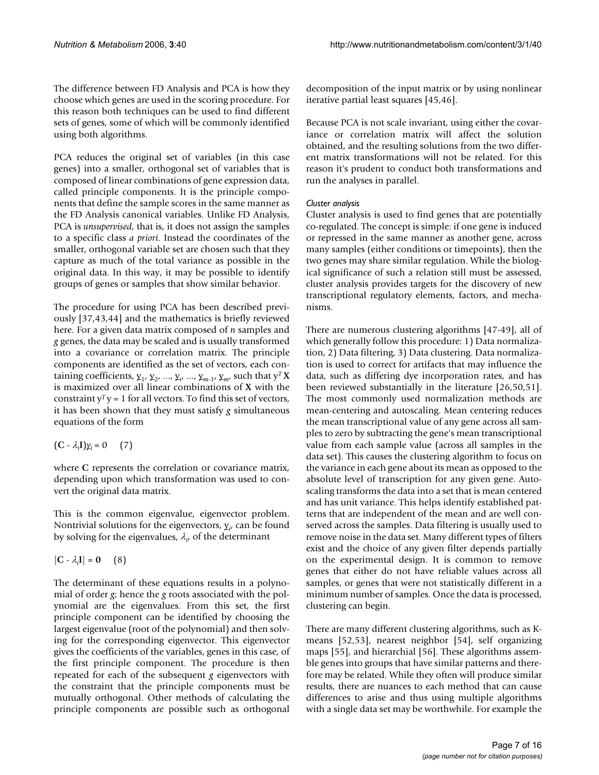The difference between FD Analysis and PCA is how they choose which genes are used in the scoring procedure. For this reason both techniques can be used to find different sets of genes, some of which will be commonly identified using both algorithms.

PCA reduces the original set of variables (in this case genes) into a smaller, orthogonal set of variables that is composed of linear combinations of gene expression data, called principle components. It is the principle components that define the sample scores in the same manner as the FD Analysis canonical variables. Unlike FD Analysis, PCA is *unsupervised*, that is, it does not assign the samples to a specific class *a priori*. Instead the coordinates of the smaller, orthogonal variable set are chosen such that they capture as much of the total variance as possible in the original data. In this way, it may be possible to identify groups of genes or samples that show similar behavior.

The procedure for using PCA has been described previously [37,43,44] and the mathematics is briefly reviewed here. For a given data matrix composed of *n* samples and *g* genes, the data may be scaled and is usually transformed into a covariance or correlation matrix. The principle components are identified as the set of vectors, each containing coefficients,  $y_1$ ,  $y_2$ , ...,  $y_i$ , ...,  $y_{m-1}$ ,  $y_m$ , such that  $y^T X$ is maximized over all linear combinations of **X** with the constraint  $y^T y = 1$  for all vectors. To find this set of vectors, it has been shown that they must satisfy *g* simultaneous equations of the form

$$
\left(\mathbf{C} - \lambda_i \mathbf{I}\right) \underline{\gamma}_i = 0 \qquad (7)
$$

where C represents the correlation or covariance matrix, depending upon which transformation was used to convert the original data matrix.

This is the common eigenvalue, eigenvector problem. Nontrivial solutions for the eigenvectors, y*<sup>i</sup>* , can be found by solving for the eigenvalues,  $\lambda_{i'}$  of the determinant

 $|C - \lambda_i I| = 0$  (8)

The determinant of these equations results in a polynomial of order *g*; hence the *g* roots associated with the polynomial are the eigenvalues. From this set, the first principle component can be identified by choosing the largest eigenvalue (root of the polynomial) and then solving for the corresponding eigenvector. This eigenvector gives the coefficients of the variables, genes in this case, of the first principle component. The procedure is then repeated for each of the subsequent *g* eigenvectors with the constraint that the principle components must be mutually orthogonal. Other methods of calculating the principle components are possible such as orthogonal

decomposition of the input matrix or by using nonlinear iterative partial least squares [45,46].

Because PCA is not scale invariant, using either the covariance or correlation matrix will affect the solution obtained, and the resulting solutions from the two different matrix transformations will not be related. For this reason it's prudent to conduct both transformations and run the analyses in parallel.

# *Cluster analysis*

Cluster analysis is used to find genes that are potentially co-regulated. The concept is simple: if one gene is induced or repressed in the same manner as another gene, across many samples (either conditions or timepoints), then the two genes may share similar regulation. While the biological significance of such a relation still must be assessed, cluster analysis provides targets for the discovery of new transcriptional regulatory elements, factors, and mechanisms.

There are numerous clustering algorithms [47-49], all of which generally follow this procedure: 1) Data normalization, 2) Data filtering, 3) Data clustering. Data normalization is used to correct for artifacts that may influence the data, such as differing dye incorporation rates, and has been reviewed substantially in the literature [26,50,51]. The most commonly used normalization methods are mean-centering and autoscaling. Mean centering reduces the mean transcriptional value of any gene across all samples to zero by subtracting the gene's mean transcriptional value from each sample value (across all samples in the data set). This causes the clustering algorithm to focus on the variance in each gene about its mean as opposed to the absolute level of transcription for any given gene. Autoscaling transforms the data into a set that is mean centered and has unit variance. This helps identify established patterns that are independent of the mean and are well conserved across the samples. Data filtering is usually used to remove noise in the data set. Many different types of filters exist and the choice of any given filter depends partially on the experimental design. It is common to remove genes that either do not have reliable values across all samples, or genes that were not statistically different in a minimum number of samples. Once the data is processed, clustering can begin.

There are many different clustering algorithms, such as Kmeans [52,53], nearest neighbor [54], self organizing maps [55], and hierarchial [56]. These algorithms assemble genes into groups that have similar patterns and therefore may be related. While they often will produce similar results, there are nuances to each method that can cause differences to arise and thus using multiple algorithms with a single data set may be worthwhile. For example the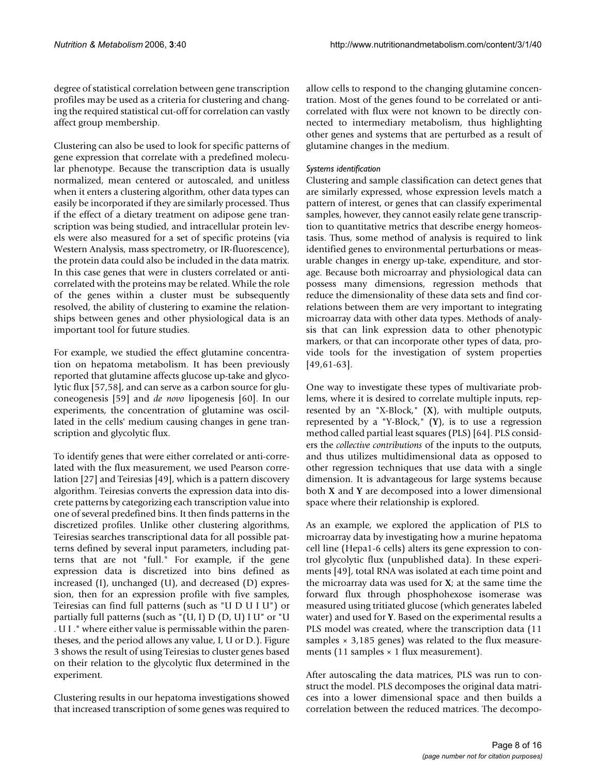degree of statistical correlation between gene transcription profiles may be used as a criteria for clustering and changing the required statistical cut-off for correlation can vastly affect group membership.

Clustering can also be used to look for specific patterns of gene expression that correlate with a predefined molecular phenotype. Because the transcription data is usually normalized, mean centered or autoscaled, and unitless when it enters a clustering algorithm, other data types can easily be incorporated if they are similarly processed. Thus if the effect of a dietary treatment on adipose gene transcription was being studied, and intracellular protein levels were also measured for a set of specific proteins (via Western Analysis, mass spectrometry, or IR-fluorescence), the protein data could also be included in the data matrix. In this case genes that were in clusters correlated or anticorrelated with the proteins may be related. While the role of the genes within a cluster must be subsequently resolved, the ability of clustering to examine the relationships between genes and other physiological data is an important tool for future studies.

For example, we studied the effect glutamine concentration on hepatoma metabolism. It has been previously reported that glutamine affects glucose up-take and glycolytic flux [57,58], and can serve as a carbon source for gluconeogenesis [59] and *de novo* lipogenesis [60]. In our experiments, the concentration of glutamine was oscillated in the cells' medium causing changes in gene transcription and glycolytic flux.

To identify genes that were either correlated or anti-correlated with the flux measurement, we used Pearson correlation [27] and Teiresias [49], which is a pattern discovery algorithm. Teiresias converts the expression data into discrete patterns by categorizing each transcription value into one of several predefined bins. It then finds patterns in the discretized profiles. Unlike other clustering algorithms, Teiresias searches transcriptional data for all possible patterns defined by several input parameters, including patterns that are not "full." For example, if the gene expression data is discretized into bins defined as increased (I), unchanged (U), and decreased (D) expression, then for an expression profile with five samples, Teiresias can find full patterns (such as "U D U I U") or partially full patterns (such as " $(U, I) D (D, U) I U$ " or "U . U I ." where either value is permissable within the parentheses, and the period allows any value, I, U or D.). Figure 3 shows the result of using Teiresias to cluster genes based on their relation to the glycolytic flux determined in the experiment.

Clustering results in our hepatoma investigations showed that increased transcription of some genes was required to

allow cells to respond to the changing glutamine concentration. Most of the genes found to be correlated or anticorrelated with flux were not known to be directly connected to intermediary metabolism, thus highlighting other genes and systems that are perturbed as a result of glutamine changes in the medium.

# *Systems identification*

Clustering and sample classification can detect genes that are similarly expressed, whose expression levels match a pattern of interest, or genes that can classify experimental samples, however, they cannot easily relate gene transcription to quantitative metrics that describe energy homeostasis. Thus, some method of analysis is required to link identified genes to environmental perturbations or measurable changes in energy up-take, expenditure, and storage. Because both microarray and physiological data can possess many dimensions, regression methods that reduce the dimensionality of these data sets and find correlations between them are very important to integrating microarray data with other data types. Methods of analysis that can link expression data to other phenotypic markers, or that can incorporate other types of data, provide tools for the investigation of system properties [49,61-63].

One way to investigate these types of multivariate problems, where it is desired to correlate multiple inputs, represented by an "X-Block," (**X**), with multiple outputs, represented by a "Y-Block," (**Y**), is to use a regression method called partial least squares (PLS) [64]. PLS considers the *collective contributions* of the inputs to the outputs, and thus utilizes multidimensional data as opposed to other regression techniques that use data with a single dimension. It is advantageous for large systems because both **X** and **Y** are decomposed into a lower dimensional space where their relationship is explored.

As an example, we explored the application of PLS to microarray data by investigating how a murine hepatoma cell line (Hepa1-6 cells) alters its gene expression to control glycolytic flux (unpublished data). In these experiments [49], total RNA was isolated at each time point and the microarray data was used for **X**; at the same time the forward flux through phosphohexose isomerase was measured using tritiated glucose (which generates labeled water) and used for **Y**. Based on the experimental results a PLS model was created, where the transcription data (11 samples  $\times$  3,185 genes) was related to the flux measurements (11 samples  $\times$  1 flux measurement).

After autoscaling the data matrices, PLS was run to construct the model. PLS decomposes the original data matrices into a lower dimensional space and then builds a correlation between the reduced matrices. The decompo-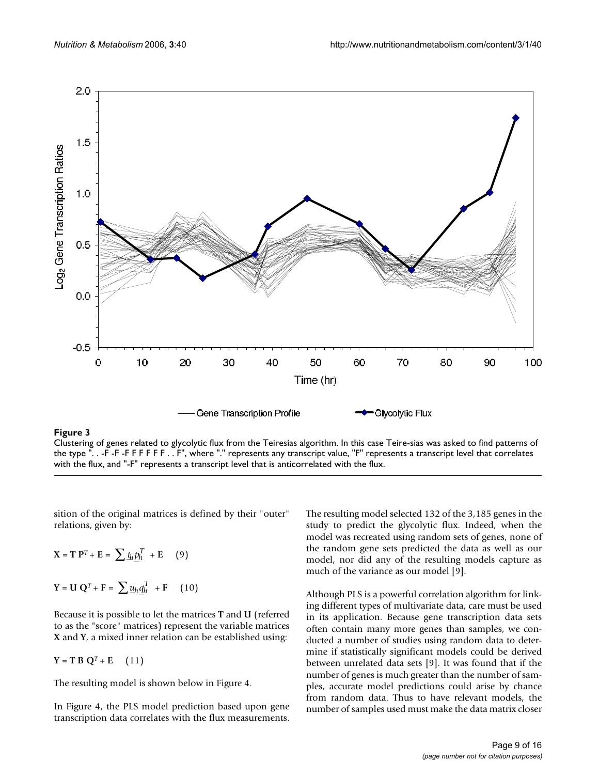

Figure 3

Clustering of genes related to glycolytic flux from the Teiresias algorithm. In this case Teire-sias was asked to find patterns of the type ". . -F -F -F F F F F F . . F", where "." represents any transcript value, "F" represents a transcript level that correlates with the flux, and "-F" represents a transcript level that is anticorrelated with the flux.

sition of the original matrices is defined by their "outer" relations, given by:

$$
\mathbf{X} = \mathbf{T} \mathbf{P}^T + \mathbf{E} = \sum f_h \underline{p}_h^T + \mathbf{E} \quad (9)
$$

 $Y = U Q^{T} + F = \sum u_h \underline{d}_h^{T} + F$  (10)

Because it is possible to let the matrices **T** and **U** (referred to as the "score" matrices) represent the variable matrices **X** and **Y**, a mixed inner relation can be established using:

 $Y = T B Q^T + E$  (11)

The resulting model is shown below in Figure 4.

In Figure 4, the PLS model prediction based upon gene transcription data correlates with the flux measurements.

The resulting model selected 132 of the 3,185 genes in the study to predict the glycolytic flux. Indeed, when the model was recreated using random sets of genes, none of the random gene sets predicted the data as well as our model, nor did any of the resulting models capture as much of the variance as our model [9].

Although PLS is a powerful correlation algorithm for linking different types of multivariate data, care must be used in its application. Because gene transcription data sets often contain many more genes than samples, we conducted a number of studies using random data to determine if statistically significant models could be derived between unrelated data sets [9]. It was found that if the number of genes is much greater than the number of samples, accurate model predictions could arise by chance from random data. Thus to have relevant models, the number of samples used must make the data matrix closer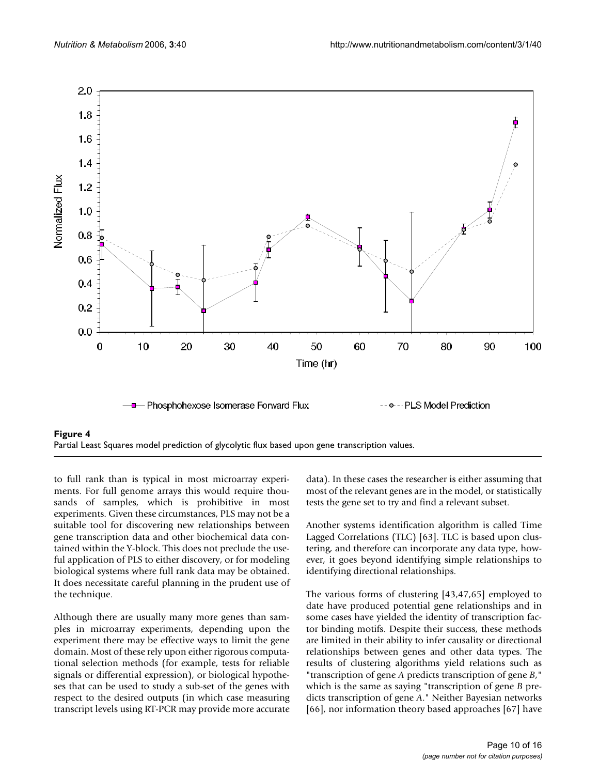

Partial Least Squares model prediction of glycolytic flux based upon gene transcription values.

to full rank than is typical in most microarray experiments. For full genome arrays this would require thousands of samples, which is prohibitive in most experiments. Given these circumstances, PLS may not be a suitable tool for discovering new relationships between gene transcription data and other biochemical data contained within the Y-block. This does not preclude the useful application of PLS to either discovery, or for modeling biological systems where full rank data may be obtained. It does necessitate careful planning in the prudent use of the technique.

Although there are usually many more genes than samples in microarray experiments, depending upon the experiment there may be effective ways to limit the gene domain. Most of these rely upon either rigorous computational selection methods (for example, tests for reliable signals or differential expression), or biological hypotheses that can be used to study a sub-set of the genes with respect to the desired outputs (in which case measuring transcript levels using RT-PCR may provide more accurate data). In these cases the researcher is either assuming that most of the relevant genes are in the model, or statistically tests the gene set to try and find a relevant subset.

Another systems identification algorithm is called Time Lagged Correlations (TLC) [63]. TLC is based upon clustering, and therefore can incorporate any data type, however, it goes beyond identifying simple relationships to identifying directional relationships.

The various forms of clustering [43,47,65] employed to date have produced potential gene relationships and in some cases have yielded the identity of transcription factor binding motifs. Despite their success, these methods are limited in their ability to infer causality or directional relationships between genes and other data types. The results of clustering algorithms yield relations such as "transcription of gene *A* predicts transcription of gene *B*," which is the same as saying "transcription of gene *B* predicts transcription of gene *A*." Neither Bayesian networks [66], nor information theory based approaches [67] have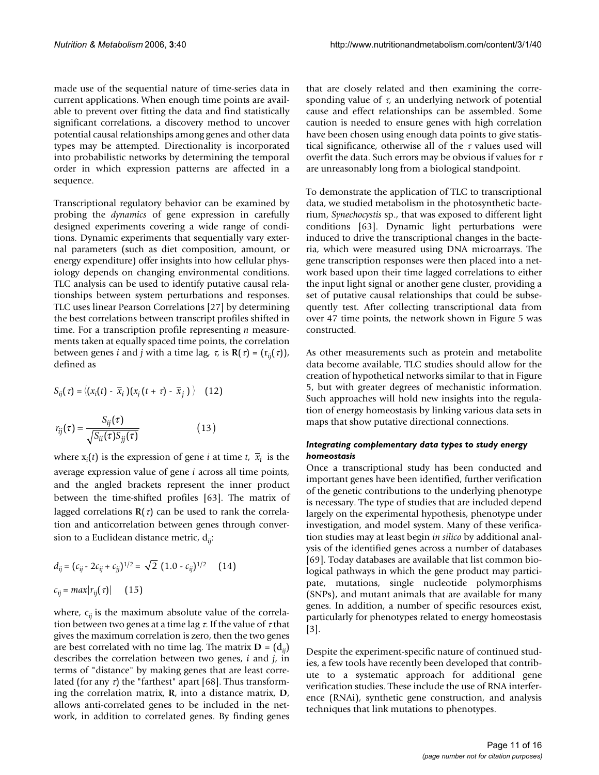made use of the sequential nature of time-series data in current applications. When enough time points are available to prevent over fitting the data and find statistically significant correlations, a discovery method to uncover potential causal relationships among genes and other data types may be attempted. Directionality is incorporated into probabilistic networks by determining the temporal order in which expression patterns are affected in a sequence.

Transcriptional regulatory behavior can be examined by probing the *dynamics* of gene expression in carefully designed experiments covering a wide range of conditions. Dynamic experiments that sequentially vary external parameters (such as diet composition, amount, or energy expenditure) offer insights into how cellular physiology depends on changing environmental conditions. TLC analysis can be used to identify putative causal relationships between system perturbations and responses. TLC uses linear Pearson Correlations [27] by determining the best correlations between transcript profiles shifted in time. For a transcription profile representing *n* measurements taken at equally spaced time points, the correlation between genes *i* and *j* with a time lag,  $\tau$ , is **R**( $\tau$ ) = ( $\tau$ <sub>*ii*</sub>( $\tau$ )), defined as

$$
S_{ij}(\tau) = \langle (x_i(t) - \overline{x}_i)(x_j(t + \tau) - \overline{x}_j) \rangle \quad (12)
$$

$$
r_{ij}(\tau) = \frac{S_{ij}(\tau)}{\sqrt{S_{ii}(\tau)S_{jj}(\tau)}}
$$
(13)

where  $x_i(t)$  is the expression of gene *i* at time *t*,  $\bar{x}_i$  is the average expression value of gene *i* across all time points, and the angled brackets represent the inner product between the time-shifted profiles [63]. The matrix of lagged correlations  $R(\tau)$  can be used to rank the correlation and anticorrelation between genes through conversion to a Euclidean distance metric, d*ij*:

$$
d_{ij} = (c_{ij} - 2c_{ij} + c_{jj})^{1/2} = \sqrt{2} (1.0 - c_{ij})^{1/2} \qquad (14)
$$
  

$$
c_{ij} = max |r_{ij}(\tau)| \qquad (15)
$$

where,  $c_{ij}$  is the maximum absolute value of the correlation between two genes at a time lag  $\tau$ . If the value of  $\tau$  that gives the maximum correlation is zero, then the two genes are best correlated with no time lag. The matrix  $D = (d_{ii})$ describes the correlation between two genes, *i* and *j*, in terms of "distance" by making genes that are least correlated (for any  $\tau$ ) the "farthest" apart [68]. Thus transforming the correlation matrix, **R**, into a distance matrix, **D**, allows anti-correlated genes to be included in the network, in addition to correlated genes. By finding genes that are closely related and then examining the corresponding value of  $\tau$ , an underlying network of potential cause and effect relationships can be assembled. Some caution is needed to ensure genes with high correlation have been chosen using enough data points to give statistical significance, otherwise all of the  $\tau$  values used will overfit the data. Such errors may be obvious if values for  $\tau$ are unreasonably long from a biological standpoint.

To demonstrate the application of TLC to transcriptional data, we studied metabolism in the photosynthetic bacterium, *Synechocystis* sp., that was exposed to different light conditions [63]. Dynamic light perturbations were induced to drive the transcriptional changes in the bacteria, which were measured using DNA microarrays. The gene transcription responses were then placed into a network based upon their time lagged correlations to either the input light signal or another gene cluster, providing a set of putative causal relationships that could be subsequently test. After collecting transcriptional data from over 47 time points, the network shown in Figure 5 was constructed.

As other measurements such as protein and metabolite data become available, TLC studies should allow for the creation of hypothetical networks similar to that in Figure 5, but with greater degrees of mechanistic information. Such approaches will hold new insights into the regulation of energy homeostasis by linking various data sets in maps that show putative directional connections.

#### *Integrating complementary data types to study energy homeostasis*

Once a transcriptional study has been conducted and important genes have been identified, further verification of the genetic contributions to the underlying phenotype is necessary. The type of studies that are included depend largely on the experimental hypothesis, phenotype under investigation, and model system. Many of these verification studies may at least begin *in silico* by additional analysis of the identified genes across a number of databases [69]. Today databases are available that list common biological pathways in which the gene product may participate, mutations, single nucleotide polymorphisms (SNPs), and mutant animals that are available for many genes. In addition, a number of specific resources exist, particularly for phenotypes related to energy homeostasis  $|3|$ .

Despite the experiment-specific nature of continued studies, a few tools have recently been developed that contribute to a systematic approach for additional gene verification studies. These include the use of RNA interference (RNAi), synthetic gene construction, and analysis techniques that link mutations to phenotypes.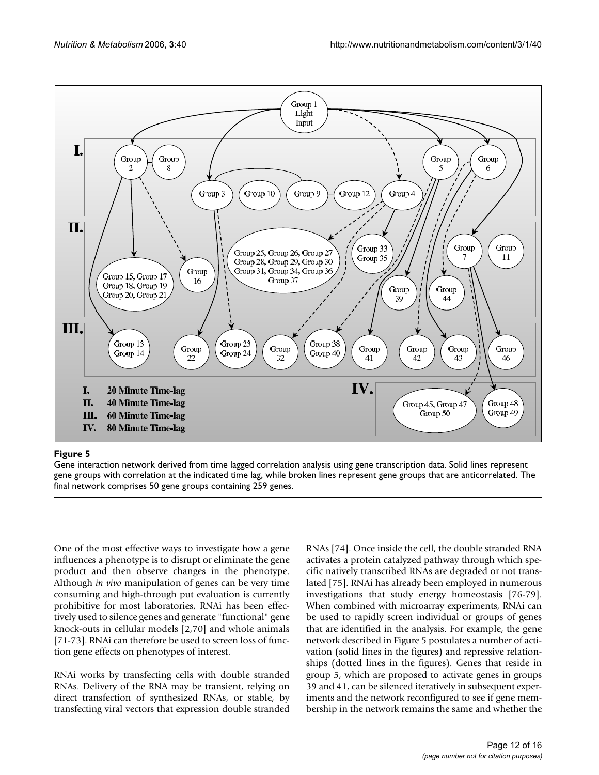

# **Figure 5** Generaction network derived from time lagged correlation analysis using generation analysis using gene

Gene interaction network derived from time lagged correlation analysis using gene transcription data. Solid lines represent gene groups with correlation at the indicated time lag, while broken lines represent gene groups that are anticorrelated. The final network comprises 50 gene groups containing 259 genes.

One of the most effective ways to investigate how a gene influences a phenotype is to disrupt or eliminate the gene product and then observe changes in the phenotype. Although *in vivo* manipulation of genes can be very time consuming and high-through put evaluation is currently prohibitive for most laboratories, RNAi has been effectively used to silence genes and generate "functional" gene knock-outs in cellular models [2,70] and whole animals [71-73]. RNAi can therefore be used to screen loss of function gene effects on phenotypes of interest.

RNAi works by transfecting cells with double stranded RNAs. Delivery of the RNA may be transient, relying on direct transfection of synthesized RNAs, or stable, by transfecting viral vectors that expression double stranded

RNAs [74]. Once inside the cell, the double stranded RNA activates a protein catalyzed pathway through which specific natively transcribed RNAs are degraded or not translated [75]. RNAi has already been employed in numerous investigations that study energy homeostasis [76-79]. When combined with microarray experiments, RNAi can be used to rapidly screen individual or groups of genes that are identified in the analysis. For example, the gene network described in Figure 5 postulates a number of activation (solid lines in the figures) and repressive relationships (dotted lines in the figures). Genes that reside in group 5, which are proposed to activate genes in groups 39 and 41, can be silenced iteratively in subsequent experiments and the network reconfigured to see if gene membership in the network remains the same and whether the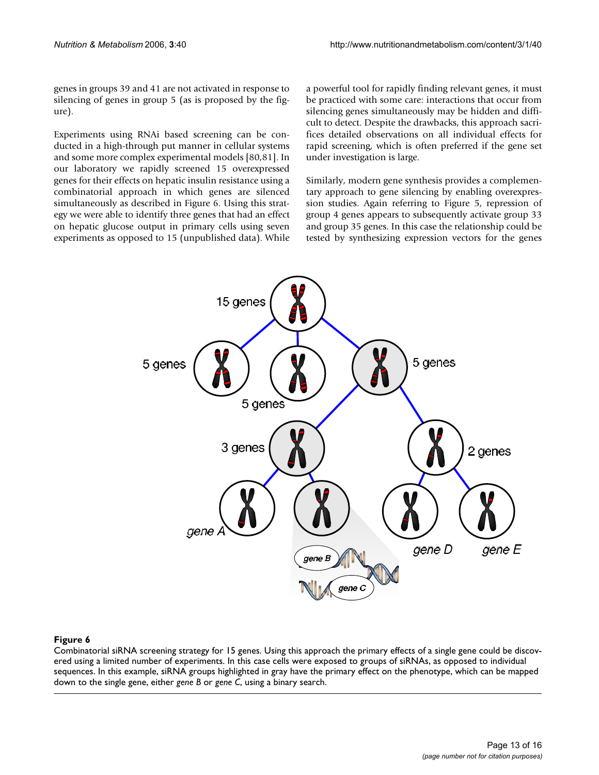genes in groups 39 and 41 are not activated in response to silencing of genes in group 5 (as is proposed by the figure).

Experiments using RNAi based screening can be conducted in a high-through put manner in cellular systems and some more complex experimental models [80,81]. In our laboratory we rapidly screened 15 overexpressed genes for their effects on hepatic insulin resistance using a combinatorial approach in which genes are silenced simultaneously as described in Figure 6. Using this strategy we were able to identify three genes that had an effect on hepatic glucose output in primary cells using seven experiments as opposed to 15 (unpublished data). While a powerful tool for rapidly finding relevant genes, it must be practiced with some care: interactions that occur from silencing genes simultaneously may be hidden and difficult to detect. Despite the drawbacks, this approach sacrifices detailed observations on all individual effects for rapid screening, which is often preferred if the gene set under investigation is large.

Similarly, modern gene synthesis provides a complementary approach to gene silencing by enabling overexpression studies. Again referring to Figure 5, repression of group 4 genes appears to subsequently activate group 33 and group 35 genes. In this case the relationship could be tested by synthesizing expression vectors for the genes



#### **Figure 6**

Combinatorial siRNA screening strategy for 15 genes. Using this approach the primary effects of a single gene could be discovered using a limited number of experiments. In this case cells were exposed to groups of siRNAs, as opposed to individual sequences. In this example, siRNA groups highlighted in gray have the primary effect on the phenotype, which can be mapped down to the single gene, either *gene B* or *gene C*, using a binary search.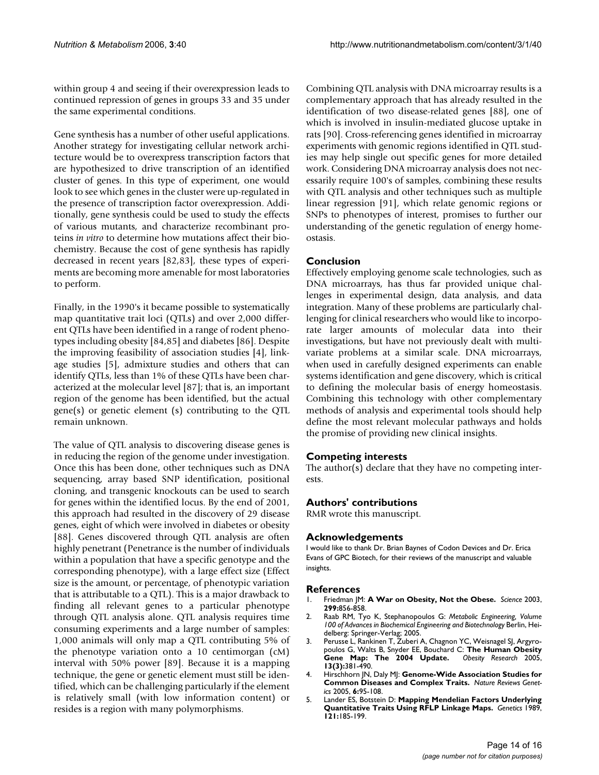within group 4 and seeing if their overexpression leads to continued repression of genes in groups 33 and 35 under the same experimental conditions.

Gene synthesis has a number of other useful applications. Another strategy for investigating cellular network architecture would be to overexpress transcription factors that are hypothesized to drive transcription of an identified cluster of genes. In this type of experiment, one would look to see which genes in the cluster were up-regulated in the presence of transcription factor overexpression. Additionally, gene synthesis could be used to study the effects of various mutants, and characterize recombinant proteins *in vitro* to determine how mutations affect their biochemistry. Because the cost of gene synthesis has rapidly decreased in recent years [82,83], these types of experiments are becoming more amenable for most laboratories to perform.

Finally, in the 1990's it became possible to systematically map quantitative trait loci (QTLs) and over 2,000 different QTLs have been identified in a range of rodent phenotypes including obesity [84,85] and diabetes [86]. Despite the improving feasibility of association studies [4], linkage studies [5], admixture studies and others that can identify QTLs, less than 1% of these QTLs have been characterized at the molecular level [87]; that is, an important region of the genome has been identified, but the actual gene(s) or genetic element (s) contributing to the QTL remain unknown.

The value of QTL analysis to discovering disease genes is in reducing the region of the genome under investigation. Once this has been done, other techniques such as DNA sequencing, array based SNP identification, positional cloning, and transgenic knockouts can be used to search for genes within the identified locus. By the end of 2001, this approach had resulted in the discovery of 29 disease genes, eight of which were involved in diabetes or obesity [88]. Genes discovered through QTL analysis are often highly penetrant (Penetrance is the number of individuals within a population that have a specific genotype and the corresponding phenotype), with a large effect size (Effect size is the amount, or percentage, of phenotypic variation that is attributable to a QTL). This is a major drawback to finding all relevant genes to a particular phenotype through QTL analysis alone. QTL analysis requires time consuming experiments and a large number of samples: 1,000 animals will only map a QTL contributing 5% of the phenotype variation onto a 10 centimorgan (cM) interval with 50% power [89]. Because it is a mapping technique, the gene or genetic element must still be identified, which can be challenging particularly if the element is relatively small (with low information content) or resides is a region with many polymorphisms.

Combining QTL analysis with DNA microarray results is a complementary approach that has already resulted in the identification of two disease-related genes [88], one of which is involved in insulin-mediated glucose uptake in rats [90]. Cross-referencing genes identified in microarray experiments with genomic regions identified in QTL studies may help single out specific genes for more detailed work. Considering DNA microarray analysis does not necessarily require 100's of samples, combining these results with QTL analysis and other techniques such as multiple linear regression [91], which relate genomic regions or SNPs to phenotypes of interest, promises to further our understanding of the genetic regulation of energy homeostasis.

# **Conclusion**

Effectively employing genome scale technologies, such as DNA microarrays, has thus far provided unique challenges in experimental design, data analysis, and data integration. Many of these problems are particularly challenging for clinical researchers who would like to incorporate larger amounts of molecular data into their investigations, but have not previously dealt with multivariate problems at a similar scale. DNA microarrays, when used in carefully designed experiments can enable systems identification and gene discovery, which is critical to defining the molecular basis of energy homeostasis. Combining this technology with other complementary methods of analysis and experimental tools should help define the most relevant molecular pathways and holds the promise of providing new clinical insights.

## **Competing interests**

The author(s) declare that they have no competing interests.

## **Authors' contributions**

RMR wrote this manuscript.

#### **Acknowledgements**

I would like to thank Dr. Brian Baynes of Codon Devices and Dr. Erica Evans of GPC Biotech, for their reviews of the manuscript and valuable insights.

#### **References**

- 1. Friedman JM: **[A War on Obesity, Not the Obese.](http://www.ncbi.nlm.nih.gov/entrez/query.fcgi?cmd=Retrieve&db=PubMed&dopt=Abstract&list_uids=12574619)** *Science* 2003, **299:**856-858.
- 2. Raab RM, Tyo K, Stephanopoulos G: *Metabolic Engineering, Volume 100 of Advances in Biochemical Engineering and Biotechnology* Berlin, Heidelberg: Springer-Verlag; 2005.
- 3. Perusse L, Rankinen T, Zuberi A, Chagnon YC, Weisnagel SJ, Argyropoulos G, Walts B, Snyder EE, Bouchard C: **[The Human Obesity](http://www.ncbi.nlm.nih.gov/entrez/query.fcgi?cmd=Retrieve&db=PubMed&dopt=Abstract&list_uids=15833932)** [Gene Map: The 2004 Update.](http://www.ncbi.nlm.nih.gov/entrez/query.fcgi?cmd=Retrieve&db=PubMed&dopt=Abstract&list_uids=15833932) **13(3):**381-490.
- 4. Hirschhorn JN, Daly MJ: **[Genome-Wide Association Studies for](http://www.ncbi.nlm.nih.gov/entrez/query.fcgi?cmd=Retrieve&db=PubMed&dopt=Abstract&list_uids=15716906) [Common Diseases and Complex Traits.](http://www.ncbi.nlm.nih.gov/entrez/query.fcgi?cmd=Retrieve&db=PubMed&dopt=Abstract&list_uids=15716906)** *Nature Reviews Genetics* 2005, **6:**95-108.
- 5. Lander ES, Botstein D: **[Mapping Mendelian Factors Underlying](http://www.ncbi.nlm.nih.gov/entrez/query.fcgi?cmd=Retrieve&db=PubMed&dopt=Abstract&list_uids=2563713) [Quantitative Traits Using RFLP Linkage Maps.](http://www.ncbi.nlm.nih.gov/entrez/query.fcgi?cmd=Retrieve&db=PubMed&dopt=Abstract&list_uids=2563713)** *Genetics* 1989, **121:**185-199.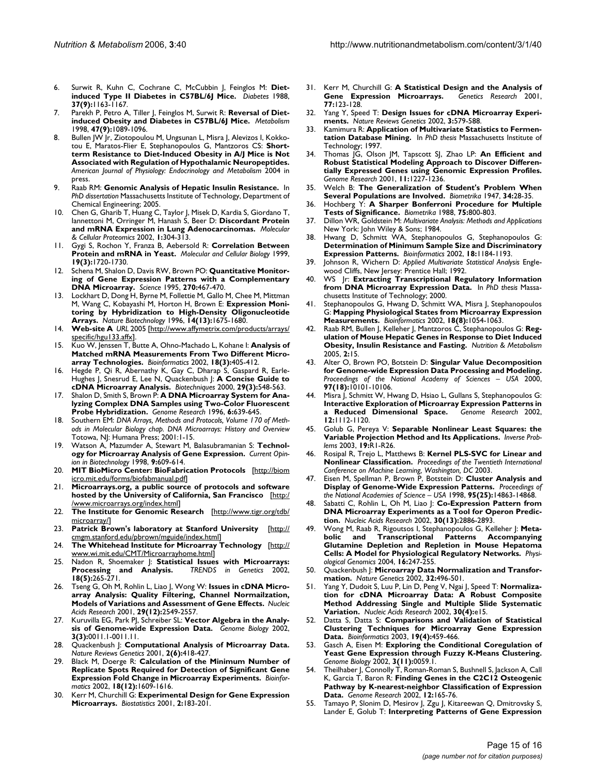- 6. Surwit R, Kuhn C, Cochrane C, McCubbin J, Feinglos M: **[Diet](http://www.ncbi.nlm.nih.gov/entrez/query.fcgi?cmd=Retrieve&db=PubMed&dopt=Abstract&list_uids=3044882)[induced Type II Diabetes in C57BL/6J Mice.](http://www.ncbi.nlm.nih.gov/entrez/query.fcgi?cmd=Retrieve&db=PubMed&dopt=Abstract&list_uids=3044882)** *Diabetes* 1988, **37(9):**1163-1167.
- 7. Parekh P, Petro A, Tiller J, Feinglos M, Surwit R: **[Reversal of Diet](http://www.ncbi.nlm.nih.gov/entrez/query.fcgi?cmd=Retrieve&db=PubMed&dopt=Abstract&list_uids=9751238)[induced Obesity and Diabetes in C57BL/6J Mice.](http://www.ncbi.nlm.nih.gov/entrez/query.fcgi?cmd=Retrieve&db=PubMed&dopt=Abstract&list_uids=9751238)** *Metabolism* 1998, **47(9):**1089-1096.
- 8. Bullen JW Jr, Ziotopoulou M, Ungsunan L, Misra J, Alevizos I, Kokkotou E, Maratos-Flier E, Stephanopoulos G, Mantzoros CS: **Shortterm Resistance to Diet-Induced Obesity in A/J Mice is Not Associated with Regulation of Hypothalamic Neuropeptides.** *American Journal of Physiology: Endocrinology and Metabolism* 2004 in press.
- 9. Raab RM: **Genomic Analysis of Hepatic Insulin Resistance.** In *PhD dissertation* Massachusetts Institute of Technology, Department of Chemical Engineering; 2005.
- 10. Chen G, Gharib T, Huang C, Taylor J, Misek D, Kardia S, Giordano T, Iannettoni M, Orringer M, Hanash S, Beer D: **Discordant Protein and mRNA Expression in Lung Adenocarcinomas.** *Molecular & Cellular Proteomics* 2002, **1:**304-313.
- 11. Gygi S, Rochon Y, Franza B, Aebersold R: **Correlation Between Protein and mRNA in Yeast.** *Molecular and Cellular Biology* 1999, **19(3):**1720-1730.
- 12. Schena M, Shalon D, Davis RW, Brown PO: **[Quantitative Monitor](http://www.ncbi.nlm.nih.gov/entrez/query.fcgi?cmd=Retrieve&db=PubMed&dopt=Abstract&list_uids=7569999)[ing of Gene Expression Patterns with a Complementary](http://www.ncbi.nlm.nih.gov/entrez/query.fcgi?cmd=Retrieve&db=PubMed&dopt=Abstract&list_uids=7569999) [DNA Microarray.](http://www.ncbi.nlm.nih.gov/entrez/query.fcgi?cmd=Retrieve&db=PubMed&dopt=Abstract&list_uids=7569999)** *Science* 1995, **270:**467-470.
- 13. Lockhart D, Dong H, Byrne M, Follettie M, Gallo M, Chee M, Mittman M, Wang C, Kobayashi M, Horton H, Brown E: **[Expression Moni](http://www.ncbi.nlm.nih.gov/entrez/query.fcgi?cmd=Retrieve&db=PubMed&dopt=Abstract&list_uids=9634850)[toring by Hybridization to High-Density Oligonucleotide](http://www.ncbi.nlm.nih.gov/entrez/query.fcgi?cmd=Retrieve&db=PubMed&dopt=Abstract&list_uids=9634850) [Arrays.](http://www.ncbi.nlm.nih.gov/entrez/query.fcgi?cmd=Retrieve&db=PubMed&dopt=Abstract&list_uids=9634850)** *Nature Biotechnology* 1996, **14(13):**1675-1680.
- 14. **Web-site A** *URL* 2005 [[http://www.affymetrix.com/products/arrays/](http://www.affymetrix.com/products/arrays/specific/hgu133.affx) specific/hgu | 33.affx]
- 15. Kuo W, Jenssen T, Butte A, Ohno-Machado L, Kohane I: **[Analysis of](http://www.ncbi.nlm.nih.gov/entrez/query.fcgi?cmd=Retrieve&db=PubMed&dopt=Abstract&list_uids=11934739) [Matched mRNA Measurements From Two Different Micro](http://www.ncbi.nlm.nih.gov/entrez/query.fcgi?cmd=Retrieve&db=PubMed&dopt=Abstract&list_uids=11934739)[array Technologies.](http://www.ncbi.nlm.nih.gov/entrez/query.fcgi?cmd=Retrieve&db=PubMed&dopt=Abstract&list_uids=11934739)** *Bioinformatics* 2002, **18(3):**405-412.
- 16. Hegde P, Qi R, Abernathy K, Gay C, Dharap S, Gaspard R, Earle-Hughes J, Snesrud E, Lee N, Quackenbush J: **[A Concise Guide to](http://www.ncbi.nlm.nih.gov/entrez/query.fcgi?cmd=Retrieve&db=PubMed&dopt=Abstract&list_uids=10997270) [cDNA Microarray Analysis.](http://www.ncbi.nlm.nih.gov/entrez/query.fcgi?cmd=Retrieve&db=PubMed&dopt=Abstract&list_uids=10997270)** *Biotechniques* 2000, **29(3):**548-563.
- 17. Shalon D, Smith S, Brown P: **[A DNA Microarray System for Ana](http://www.ncbi.nlm.nih.gov/entrez/query.fcgi?cmd=Retrieve&db=PubMed&dopt=Abstract&list_uids=8796352)[lyzing Complex DNA Samples using Two-Color Fluorescent](http://www.ncbi.nlm.nih.gov/entrez/query.fcgi?cmd=Retrieve&db=PubMed&dopt=Abstract&list_uids=8796352) [Probe Hybridization.](http://www.ncbi.nlm.nih.gov/entrez/query.fcgi?cmd=Retrieve&db=PubMed&dopt=Abstract&list_uids=8796352)** *Genome Research* 1996, **6:**639-645.
- Southern EM: DNA Arrays, Methods and Protocols, Volume 170 of Meth*ods in Molecular Biology chap. DNA Microarrays: History and Overview* Totowa, NJ: Humana Press; 2001:1-15.
- 19. Watson A, Mazumder A, Stewart M, Balasubramanian S: **[Technol](http://www.ncbi.nlm.nih.gov/entrez/query.fcgi?cmd=Retrieve&db=PubMed&dopt=Abstract&list_uids=9889134)[ogy for Microarray Analysis of Gene Expression.](http://www.ncbi.nlm.nih.gov/entrez/query.fcgi?cmd=Retrieve&db=PubMed&dopt=Abstract&list_uids=9889134)** *Current Opinion in Biotechnology* 1998, **9:**609-614.
- 20. **MIT BioMicro Center: BioFabrication Protocols** [\[http://biom](http://biomicro.mit.edu/forms/biofabmanual.pdf) [icro.mit.edu/forms/biofabmanual.pdf](http://biomicro.mit.edu/forms/biofabmanual.pdf)]
- 21. **Microarrays.org, a public source of protocols and software hosted by the University of California, San Francisco** [[http:/](http://www.microarrays.org/index.html) [/www.microarrays.org/index.html](http://www.microarrays.org/index.html)]
- 22. **The Institute for Genomic Research** [[http://www.tigr.org/tdb/](http://www.tigr.org/tdb/microarray/) [microarray/](http://www.tigr.org/tdb/microarray/)]
- 23. **Patrick Brown's laboratory at Stanford University** [[http://](http://cmgm.stanford.edu/pbrown/mguide/index.html) [cmgm.stanford.edu/pbrown/mguide/index.html\]](http://cmgm.stanford.edu/pbrown/mguide/index.html)
- 24. **The Whitehead Institute for Microarray Technology** [[http://](http://www.wi.mit.edu/CMT/Microarrayhome.html) [www.wi.mit.edu/CMT/Microarrayhome.html](http://www.wi.mit.edu/CMT/Microarrayhome.html)]
- 25. Nadon R, Shoemaker J: **[Statistical Issues with Microarrays:](http://www.ncbi.nlm.nih.gov/entrez/query.fcgi?cmd=Retrieve&db=PubMed&dopt=Abstract&list_uids=12047952) [Processing and Analysis.](http://www.ncbi.nlm.nih.gov/entrez/query.fcgi?cmd=Retrieve&db=PubMed&dopt=Abstract&list_uids=12047952) 18(5):**265-271.
- 26. Tseng G, Oh M, Rohlin L, Liao J, Wong W: **[Issues in cDNA Micro](http://www.ncbi.nlm.nih.gov/entrez/query.fcgi?cmd=Retrieve&db=PubMed&dopt=Abstract&list_uids=11410663)[array Analysis: Quality Filtering, Channel Normailzation,](http://www.ncbi.nlm.nih.gov/entrez/query.fcgi?cmd=Retrieve&db=PubMed&dopt=Abstract&list_uids=11410663) [Models of Variations and Assessment of Gene Effects.](http://www.ncbi.nlm.nih.gov/entrez/query.fcgi?cmd=Retrieve&db=PubMed&dopt=Abstract&list_uids=11410663)** *Nucleic Acids Research* 2001, **29(12):**2549-2557.
- 27. Kuruvilla EG, Park PJ, Schreiber SL: **Vector Algebra in the Analysis of Genome-wide Expression Data.** *Genome Biology* 2002, **3(3):**0011.1-0011.11.
- 28. Quackenbush J: **[Computational Analysis of Microarray Data.](http://www.ncbi.nlm.nih.gov/entrez/query.fcgi?cmd=Retrieve&db=PubMed&dopt=Abstract&list_uids=11389458)** *Nature Reviews Genetics* 2001, **2(6):**418-427.
- 29. Black M, Doerge R: **[Calculation of the Minimum Number of](http://www.ncbi.nlm.nih.gov/entrez/query.fcgi?cmd=Retrieve&db=PubMed&dopt=Abstract&list_uids=12490445) [Replicate Spots Required for Detection of Significant Gene](http://www.ncbi.nlm.nih.gov/entrez/query.fcgi?cmd=Retrieve&db=PubMed&dopt=Abstract&list_uids=12490445) [Expression Fold Change in Microarray Experiments.](http://www.ncbi.nlm.nih.gov/entrez/query.fcgi?cmd=Retrieve&db=PubMed&dopt=Abstract&list_uids=12490445)** *Bioinformatics* 2002, **18(12):**1609-1616.
- 30. Kerr M, Churchill G: **[Experimental Design for Gene Expression](http://www.ncbi.nlm.nih.gov/entrez/query.fcgi?cmd=Retrieve&db=PubMed&dopt=Abstract&list_uids=12933549) [Microarrays.](http://www.ncbi.nlm.nih.gov/entrez/query.fcgi?cmd=Retrieve&db=PubMed&dopt=Abstract&list_uids=12933549)** *Biostatistics* 2001, **2:**183-201.
- 31. Kerr M, Churchill G: **A Statistical Design and the Analysis of** Gene Expression Microarrays. **77:**123-128.
- 32. Yang Y, Speed T: **[Design Issues for cDNA Microarray Experi](http://www.ncbi.nlm.nih.gov/entrez/query.fcgi?cmd=Retrieve&db=PubMed&dopt=Abstract&list_uids=12154381)[ments.](http://www.ncbi.nlm.nih.gov/entrez/query.fcgi?cmd=Retrieve&db=PubMed&dopt=Abstract&list_uids=12154381)** *Nature Reviews Genetics* 2002, **3:**579-588.
- 33. Kamimura R: **Application of Multivariate Statistics to Fermentation Database Mining.** In *PhD thesis* Massachusetts Institute of Technology; 1997.
- 34. Thomas JG, Olson JM, Tapscott SJ, Zhao LP: **[An Efficient and](http://www.ncbi.nlm.nih.gov/entrez/query.fcgi?cmd=Retrieve&db=PubMed&dopt=Abstract&list_uids=11435405) Robust Statistical Modeling Approach to Discover Differen[tially Expressed Genes using Genomic Expression Profiles.](http://www.ncbi.nlm.nih.gov/entrez/query.fcgi?cmd=Retrieve&db=PubMed&dopt=Abstract&list_uids=11435405)** *Genome Research* 2001, **11:**1227-1236.
- 35. Welch B: **The Generalization of Student's Problem When Several Populations are Involved.** *Biometrika* 1947, **34:**28-35.
- 36. Hochberg Y: **A Sharper Bonferroni Procedure for Multiple Tests of Significance.** *Biometrika* 1988, **75:**800-803.
- 37. Dillon WR, Goldstein M: *Multivariate Analysis: Methods and Applications* New York: John Wiley & Sons; 1984.
- 38. Hwang D, Schmitt WA, Stephanopoulos G, Stephanopoulos G: **[Determination of Minimum Sample Size and Discriminatory](http://www.ncbi.nlm.nih.gov/entrez/query.fcgi?cmd=Retrieve&db=PubMed&dopt=Abstract&list_uids=12217910) [Expression Patterns.](http://www.ncbi.nlm.nih.gov/entrez/query.fcgi?cmd=Retrieve&db=PubMed&dopt=Abstract&list_uids=12217910)** *Bioinformatics* 2002, **18:**1184-1193.
- 39. Johnson R, Wichern D: *Applied Multivariate Statistical Analysis* Englewood Cliffs, New Jersey: Prentice Hall; 1992.
- 40. WS Jr: **Extracting Transcriptional Regulatory Information from DNA Microarray Expression Data.** In *PhD thesis* Massachusetts Institute of Technology; 2000.
- 41. Stephanopoulos G, Hwang D, Schmitt WA, Misra J, Stephanopoulos G: **[Mapping Physiological States from Microarray Expression](http://www.ncbi.nlm.nih.gov/entrez/query.fcgi?cmd=Retrieve&db=PubMed&dopt=Abstract&list_uids=12176828) [Measurements.](http://www.ncbi.nlm.nih.gov/entrez/query.fcgi?cmd=Retrieve&db=PubMed&dopt=Abstract&list_uids=12176828)** *Bioinformatics* 2002, **18(8):**1054-1063.
- 42. Raab RM, Bullen J, Kelleher J, Mantzoros C, Stephanopoulos G: **Regulation of Mouse Hepatic Genes in Response to Diet Induced Obesity, Insulin Resistance and Fasting.** *Nutrition & Metabolism* 2005, **2:**15.
- 43. Alter O, Brown PO, Botstein D: **Singular Value Decomposition for Genome-wide Expression Data Processing and Modeling.** *Proceedings of the National Academy of Sciences – USA* 2000, **97(18):**10101-10106.
- 44. Misra J, Schmitt W, Hwang D, Hsiao L, Gullans S, Stephanopoulos G: **[Interactive Exploration of Microarray Expression Patterns in](http://www.ncbi.nlm.nih.gov/entrez/query.fcgi?cmd=Retrieve&db=PubMed&dopt=Abstract&list_uids=12097349)**<br>**a** Reduced Dimensional Space. Genome Research 2002, [a Reduced Dimensional Space.](http://www.ncbi.nlm.nih.gov/entrez/query.fcgi?cmd=Retrieve&db=PubMed&dopt=Abstract&list_uids=12097349) **12:**1112-1120.
- 45. Golub G, Pereya V: **Separable Nonlinear Least Squares: the Variable Projection Method and Its Applications.** *Inverse Problems* 2003, **19:**R1-R26.
- 46. Rosipal R, Trejo L, Matthews B: **Kernel PLS-SVC for Linear and Nonlinear Classification.** *Proceedings of the Twentieth International Conference on Machine Learning, Washington, DC* 2003.
- 47. Eisen M, Spellman P, Brown P, Botstein D: **Cluster Analysis and Display of Genome-Wide Expression Patterns.** *Proceedings of the National Academies of Science – USA* 1998, **95(25):**14863-14868.
- Sabatti C, Rohlin L, Oh M, Liao |: [Co-Expression Pattern from](http://www.ncbi.nlm.nih.gov/entrez/query.fcgi?cmd=Retrieve&db=PubMed&dopt=Abstract&list_uids=12087173) **[DNA Microarray Experiments as a Tool for Operon Predic](http://www.ncbi.nlm.nih.gov/entrez/query.fcgi?cmd=Retrieve&db=PubMed&dopt=Abstract&list_uids=12087173)[tion.](http://www.ncbi.nlm.nih.gov/entrez/query.fcgi?cmd=Retrieve&db=PubMed&dopt=Abstract&list_uids=12087173)** *Nucleic Acids Research* 2002, **30(13):**2886-2893.
- 49. Wong M, Raab R, Rigoutsos I, Stephanopoulos G, Kelleher J: **[Meta](http://www.ncbi.nlm.nih.gov/entrez/query.fcgi?cmd=Retrieve&db=PubMed&dopt=Abstract&list_uids=14612591)bolic and Transcriptional Patterns Accompanying [Glutamine Depletion and Repletion in Mouse Hepatoma](http://www.ncbi.nlm.nih.gov/entrez/query.fcgi?cmd=Retrieve&db=PubMed&dopt=Abstract&list_uids=14612591) [Cells: A Model for Physiological Regulatory Networks.](http://www.ncbi.nlm.nih.gov/entrez/query.fcgi?cmd=Retrieve&db=PubMed&dopt=Abstract&list_uids=14612591)** *Physiological Genomics* 2004, **16:**247-255.
- 50. Quackenbush J: **[Microarray Data Normalization and Transfor](http://www.ncbi.nlm.nih.gov/entrez/query.fcgi?cmd=Retrieve&db=PubMed&dopt=Abstract&list_uids=12454644)[mation.](http://www.ncbi.nlm.nih.gov/entrez/query.fcgi?cmd=Retrieve&db=PubMed&dopt=Abstract&list_uids=12454644)** *Nature Genetics* 2002, **32:**496-501.
- 51. Yang Y, Dudoit S, Luu P, Lin D, Peng V, Ngai J, Speed T: **[Normaliza](http://www.ncbi.nlm.nih.gov/entrez/query.fcgi?cmd=Retrieve&db=PubMed&dopt=Abstract&list_uids=11842121)tion for cDNA Microarray Data: A Robust Composite [Method Addressing Single and Multiple Slide Systematic](http://www.ncbi.nlm.nih.gov/entrez/query.fcgi?cmd=Retrieve&db=PubMed&dopt=Abstract&list_uids=11842121) [Variation.](http://www.ncbi.nlm.nih.gov/entrez/query.fcgi?cmd=Retrieve&db=PubMed&dopt=Abstract&list_uids=11842121)** *Nucleic Acids Research* 2002, **30(4):**e15.
- 52. Datta S, Datta S: **[Comparisons and Validation of Statistical](http://www.ncbi.nlm.nih.gov/entrez/query.fcgi?cmd=Retrieve&db=PubMed&dopt=Abstract&list_uids=12611800) [Clustering Techniques for Microarray Gene Expression](http://www.ncbi.nlm.nih.gov/entrez/query.fcgi?cmd=Retrieve&db=PubMed&dopt=Abstract&list_uids=12611800) [Data.](http://www.ncbi.nlm.nih.gov/entrez/query.fcgi?cmd=Retrieve&db=PubMed&dopt=Abstract&list_uids=12611800)** *Bioinformatics* 2003, **19(4):**459-466.
- 53. Gasch A, Eisen M: **Exploring the Conditional Coregulation of Yeast Gene Expression through Fuzzy K-Means Clustering.** *Genome Biology* 2002, **3(11):**0059.1.
- 54. Theilhaber J, Connolly T, Roman-Roman S, Bushnell S, Jackson A, Call K, Garcia T, Baron R: **[Finding Genes in the C2C12 Osteogenic](http://www.ncbi.nlm.nih.gov/entrez/query.fcgi?cmd=Retrieve&db=PubMed&dopt=Abstract&list_uids=11779842) [Pathway by K-nearest-neighbor Classification of Expression](http://www.ncbi.nlm.nih.gov/entrez/query.fcgi?cmd=Retrieve&db=PubMed&dopt=Abstract&list_uids=11779842) [Data.](http://www.ncbi.nlm.nih.gov/entrez/query.fcgi?cmd=Retrieve&db=PubMed&dopt=Abstract&list_uids=11779842)** *Genome Research* 2002, **12:**165-76.
- 55. Tamayo P, Slonim D, Mesirov J, Zgu J, Kitareewan Q, Dmitrovsky S, Lander E, Golub T: **Interpreting Patterns of Gene Expression**